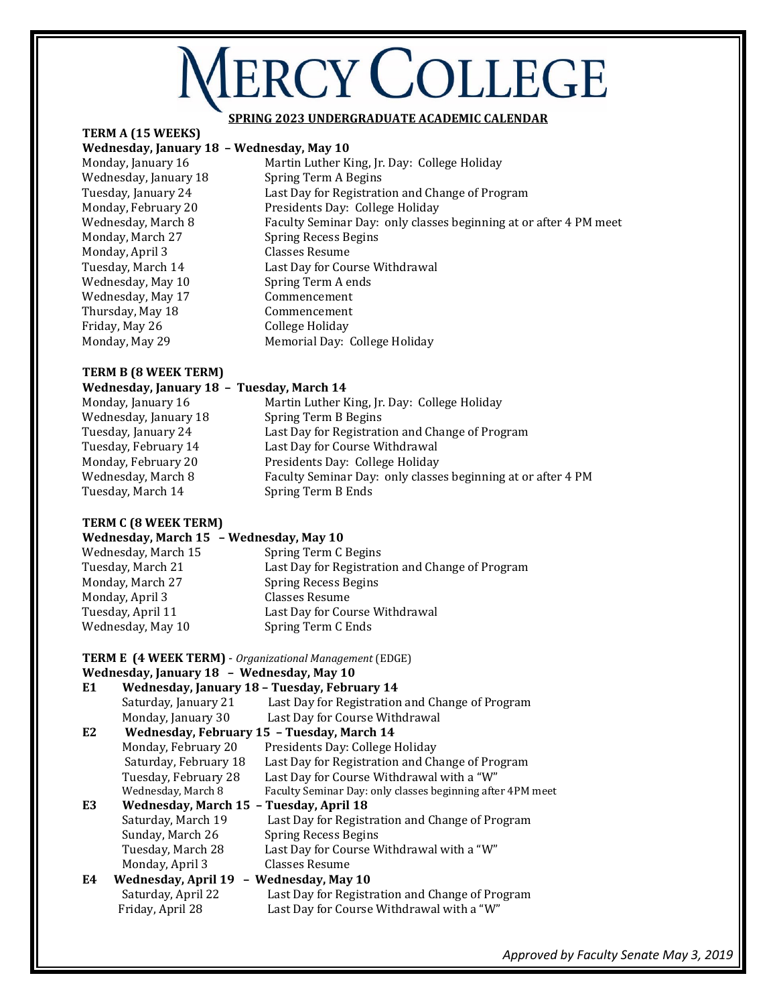# **ERCY COLLEGE**

#### **SPRING 2023 UNDERGRADUATE ACADEMIC CALENDAR**

## **TERM A (15 WEEKS)**

#### **Wednesday, January 18 – Wednesday, May 10**

Monday, April 3Classes Resume Wednesday, May 10Spring Term A ends Wednesday, May 17 Commencement Thursday, May 18Commencement Friday, May 26 College Holiday

Monday, January 16Martin Luther King, Jr. Day: College Holiday Wednesday, January 18Spring Term A Begins Tuesday, January 24 Last Day for Registration and Change of Program Monday, February 20Presidents Day: College Holiday Wednesday, March 8 Faculty Seminar Day: only classes beginning at or after 4 PM meet Monday, March 27 Spring Recess Begins Tuesday, March 14 Last Day for Course Withdrawal Monday, May 29 Memorial Day: College Holiday

### **TERM B (8 WEEK TERM)**

### **Wednesday, January 18 – Tuesday, March 14**  Monday, January 16Martin Luther King, Jr. Day: College Holiday Wednesday, January 18 Spring Term B Begins Tuesday, January 24 Last Day for Registration and Change of Program Tuesday, February 14Last Day for Course Withdrawal Monday, February 20Presidents Day: College Holiday Wednesday, March 8 Faculty Seminar Day: only classes beginning at or after 4 PM Tuesday, March 14Spring Term B Ends

### **TERM C (8 WEEK TERM)**

## **Wednesday, March 15 – Wednesday, May 10**

| Spring Term C Begins                            |
|-------------------------------------------------|
| Last Day for Registration and Change of Program |
| Spring Recess Begins                            |
| Classes Resume                                  |
| Last Day for Course Withdrawal                  |
| Spring Term C Ends                              |
|                                                 |

#### **TERM E (4 WEEK TERM)** - *Organizational Management* (EDGE)

#### **Wednesday, January 18 – Wednesday, May 10**

| E <sub>1</sub>                                |                            | Wednesday, January 18 - Tuesday, February 14               |
|-----------------------------------------------|----------------------------|------------------------------------------------------------|
|                                               | Saturday, January 21       | Last Day for Registration and Change of Program            |
|                                               | Monday, January 30         | Last Day for Course Withdrawal                             |
| E <sub>2</sub>                                |                            | Wednesday, February 15 - Tuesday, March 14                 |
|                                               | Monday, February 20        | Presidents Day: College Holiday                            |
|                                               | Saturday, February 18      | Last Day for Registration and Change of Program            |
|                                               | Tuesday, February 28       | Last Day for Course Withdrawal with a "W"                  |
|                                               | Wednesday, March 8         | Faculty Seminar Day: only classes beginning after 4PM meet |
| E3<br>Wednesday, March 15 - Tuesday, April 18 |                            |                                                            |
|                                               | Saturday, March 19         | Last Day for Registration and Change of Program            |
|                                               | Sunday, March 26           | <b>Spring Recess Begins</b>                                |
|                                               | Tuesday, March 28          | Last Day for Course Withdrawal with a "W"                  |
|                                               | Monday, April 3            | Classes Resume                                             |
| E4                                            | <b>Wednesday, April 19</b> | - Wednesday, May 10                                        |
|                                               | Saturday, April 22         | Last Day for Registration and Change of Program            |
|                                               | Friday, April 28           | Last Day for Course Withdrawal with a "W"                  |